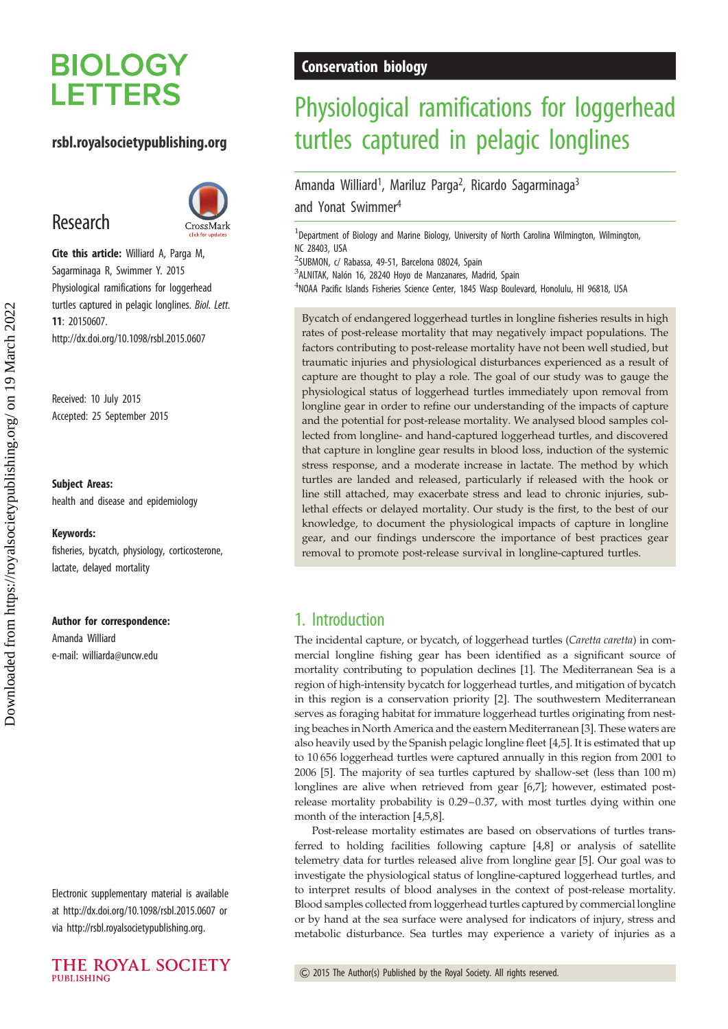# **BIOLOGY LETTERS**

## rsbl.royalsocietypublishing.org

# Research



Cite this article: Williard A, Parga M, Sagarminaga R, Swimmer Y. 2015 Physiological ramifications for loggerhead turtles captured in pelagic longlines. Biol. Lett. 11: 20150607. http://dx.doi.org/10.1098/rsbl.2015.0607

Received: 10 July 2015 Accepted: 25 September 2015

#### Subject Areas:

health and disease and epidemiology

#### Keywords:

fisheries, bycatch, physiology, corticosterone, lactate, delayed mortality

#### Author for correspondence:

Amanda Williard e-mail: [williarda@uncw.edu](mailto:williarda@uncw.edu)

Electronic supplementary material is available at<http://dx.doi.org/10.1098/rsbl.2015.0607> or via<http://rsbl.royalsocietypublishing.org>.



## Conservation biology

# Physiological ramifications for loggerhead turtles captured in pelagic longlines

Amanda Williard<sup>1</sup>, Mariluz Parga<sup>2</sup>, Ricardo Sagarminaga<sup>3</sup> and Yonat Swimmer4

<sup>1</sup>Department of Biology and Marine Biology, University of North Carolina Wilmington, Wilmington, NC 28403, USA

2 SUBMON, c/ Rabassa, 49-51, Barcelona 08024, Spain

<sup>3</sup>ALNITAK, Nalón 16, 28240 Hoyo de Manzanares, Madrid, Spain

<sup>4</sup>NOAA Pacific Islands Fisheries Science Center, 1845 Wasp Boulevard, Honolulu, HI 96818, USA

Bycatch of endangered loggerhead turtles in longline fisheries results in high rates of post-release mortality that may negatively impact populations. The factors contributing to post-release mortality have not been well studied, but traumatic injuries and physiological disturbances experienced as a result of capture are thought to play a role. The goal of our study was to gauge the physiological status of loggerhead turtles immediately upon removal from longline gear in order to refine our understanding of the impacts of capture and the potential for post-release mortality. We analysed blood samples collected from longline- and hand-captured loggerhead turtles, and discovered that capture in longline gear results in blood loss, induction of the systemic stress response, and a moderate increase in lactate. The method by which turtles are landed and released, particularly if released with the hook or line still attached, may exacerbate stress and lead to chronic injuries, sublethal effects or delayed mortality. Our study is the first, to the best of our knowledge, to document the physiological impacts of capture in longline gear, and our findings underscore the importance of best practices gear removal to promote post-release survival in longline-captured turtles.

# 1. Introduction

The incidental capture, or bycatch, of loggerhead turtles (Caretta caretta) in commercial longline fishing gear has been identified as a significant source of mortality contributing to population declines [[1](#page-3-0)]. The Mediterranean Sea is a region of high-intensity bycatch for loggerhead turtles, and mitigation of bycatch in this region is a conservation priority [\[2\]](#page-3-0). The southwestern Mediterranean serves as foraging habitat for immature loggerhead turtles originating from nesting beaches in North America and the eastern Mediterranean [\[3\]](#page-3-0). These waters are also heavily used by the Spanish pelagic longline fleet [\[4](#page-3-0),[5](#page-3-0)]. It is estimated that up to 10 656 loggerhead turtles were captured annually in this region from 2001 to 2006 [\[5](#page-3-0)]. The majority of sea turtles captured by shallow-set (less than 100 m) longlines are alive when retrieved from gear [\[6,7](#page-3-0)]; however, estimated postrelease mortality probability is 0.29–0.37, with most turtles dying within one month of the interaction [[4,5,8](#page-3-0)].

Post-release mortality estimates are based on observations of turtles transferred to holding facilities following capture [[4,8\]](#page-3-0) or analysis of satellite telemetry data for turtles released alive from longline gear [[5](#page-3-0)]. Our goal was to investigate the physiological status of longline-captured loggerhead turtles, and to interpret results of blood analyses in the context of post-release mortality. Blood samples collected from loggerhead turtles captured by commercial longline or by hand at the sea surface were analysed for indicators of injury, stress and metabolic disturbance. Sea turtles may experience a variety of injuries as a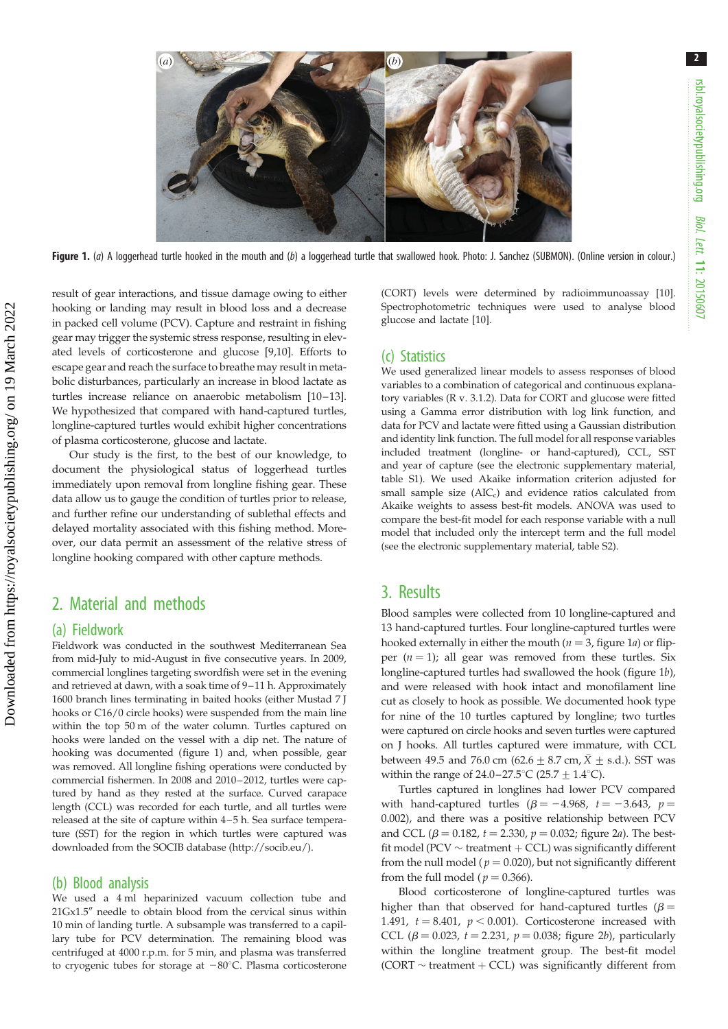

Figure 1. (a) A loggerhead turtle hooked in the mouth and (b) a loggerhead turtle that swallowed hook. Photo: J. Sanchez (SUBMON). (Online version in colour.)

result of gear interactions, and tissue damage owing to either hooking or landing may result in blood loss and a decrease in packed cell volume (PCV). Capture and restraint in fishing gear may trigger the systemic stress response, resulting in elevated levels of corticosterone and glucose [[9,10](#page-3-0)]. Efforts to escape gear and reach the surface to breathe may result in metabolic disturbances, particularly an increase in blood lactate as turtles increase reliance on anaerobic metabolism [\[10](#page-3-0)–[13](#page-3-0)]. We hypothesized that compared with hand-captured turtles, longline-captured turtles would exhibit higher concentrations of plasma corticosterone, glucose and lactate.

Our study is the first, to the best of our knowledge, to document the physiological status of loggerhead turtles immediately upon removal from longline fishing gear. These data allow us to gauge the condition of turtles prior to release, and further refine our understanding of sublethal effects and delayed mortality associated with this fishing method. Moreover, our data permit an assessment of the relative stress of longline hooking compared with other capture methods.

## 2. Material and methods

### (a) Fieldwork

Fieldwork was conducted in the southwest Mediterranean Sea from mid-July to mid-August in five consecutive years. In 2009, commercial longlines targeting swordfish were set in the evening and retrieved at dawn, with a soak time of 9–11 h. Approximately 1600 branch lines terminating in baited hooks (either Mustad 7 J hooks or C16/0 circle hooks) were suspended from the main line within the top 50 m of the water column. Turtles captured on hooks were landed on the vessel with a dip net. The nature of hooking was documented (figure 1) and, when possible, gear was removed. All longline fishing operations were conducted by commercial fishermen. In 2008 and 2010 –2012, turtles were captured by hand as they rested at the surface. Curved carapace length (CCL) was recorded for each turtle, and all turtles were released at the site of capture within 4–5 h. Sea surface temperature (SST) for the region in which turtles were captured was downloaded from the SOCIB database [\(http://socib.eu/\)](http://socib.eu/).

### (b) Blood analysis

We used a 4 ml heparinized vacuum collection tube and  $21Gx1.5$ <sup>"</sup> needle to obtain blood from the cervical sinus within 10 min of landing turtle. A subsample was transferred to a capillary tube for PCV determination. The remaining blood was centrifuged at 4000 r.p.m. for 5 min, and plasma was transferred to cryogenic tubes for storage at  $-80^{\circ}$ C. Plasma corticosterone (CORT) levels were determined by radioimmunoassay [\[10\]](#page-3-0). Spectrophotometric techniques were used to analyse blood glucose and lactate [[10](#page-3-0)].

### (c) Statistics

We used generalized linear models to assess responses of blood variables to a combination of categorical and continuous explanatory variables (R v. 3.1.2). Data for CORT and glucose were fitted using a Gamma error distribution with log link function, and data for PCV and lactate were fitted using a Gaussian distribution and identity link function. The full model for all response variables included treatment (longline- or hand-captured), CCL, SST and year of capture (see the electronic supplementary material, table S1). We used Akaike information criterion adjusted for small sample size  $(AIC<sub>c</sub>)$  and evidence ratios calculated from Akaike weights to assess best-fit models. ANOVA was used to compare the best-fit model for each response variable with a null model that included only the intercept term and the full model (see the electronic supplementary material, table S2).

### 3. Results

Blood samples were collected from 10 longline-captured and 13 hand-captured turtles. Four longline-captured turtles were hooked externally in either the mouth ( $n = 3$ , figure 1a) or flipper  $(n = 1)$ ; all gear was removed from these turtles. Six longline-captured turtles had swallowed the hook (figure 1b), and were released with hook intact and monofilament line cut as closely to hook as possible. We documented hook type for nine of the 10 turtles captured by longline; two turtles were captured on circle hooks and seven turtles were captured on J hooks. All turtles captured were immature, with CCL between 49.5 and 76.0 cm (62.6  $\pm$  8.7 cm,  $\bar{X}$   $\pm$  s.d.). SST was within the range of  $24.0-27.5^{\circ}C$  (25.7  $\pm$  1.4°C).

Turtles captured in longlines had lower PCV compared with hand-captured turtles  $(\beta = -4.968, t = -3.643, p =$ 0.002), and there was a positive relationship between PCV and CCL ( $\beta = 0.182$ ,  $t = 2.330$ ,  $p = 0.032$ ; [figure 2](#page-2-0)*a*). The bestfit model (PCV  $\sim$  treatment  $+$  CCL) was significantly different from the null model ( $p = 0.020$ ), but not significantly different from the full model ( $p = 0.366$ ).

Blood corticosterone of longline-captured turtles was higher than that observed for hand-captured turtles ( $\beta$  = 1.491,  $t = 8.401$ ,  $p < 0.001$ ). Corticosterone increased with CCL ( $\beta$  = 0.023, t = 2.231, p = 0.038; [figure 2](#page-2-0)b), particularly within the longline treatment group. The best-fit model  $(CORT \sim treatment + CCL)$  was significantly different from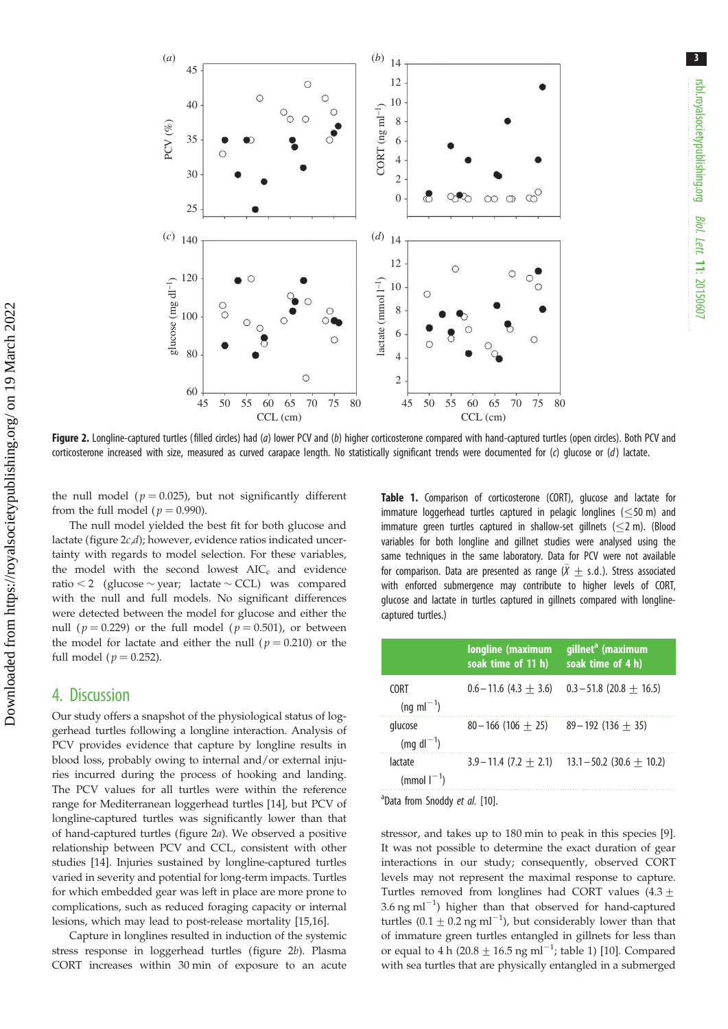<span id="page-2-0"></span>

Figure 2. Longline-captured turtles (filled circles) had (a) lower PCV and (b) higher corticosterone compared with hand-captured turtles (open circles). Both PCV and corticosterone increased with size, measured as curved carapace length. No statistically significant trends were documented for (c) glucose or (d) lactate.

the null model ( $p = 0.025$ ), but not significantly different from the full model ( $p = 0.990$ ).

The null model yielded the best fit for both glucose and lactate (figure  $2c,d$ ); however, evidence ratios indicated uncertainty with regards to model selection. For these variables, the model with the second lowest  $AIC_c$  and evidence ratio  $\leq 2$  (glucose  $\sim$  year; lactate  $\sim$  CCL) was compared with the null and full models. No significant differences were detected between the model for glucose and either the null ( $p = 0.229$ ) or the full model ( $p = 0.501$ ), or between the model for lactate and either the null ( $p = 0.210$ ) or the full model ( $p = 0.252$ ).

### 4. Discussion

Our study offers a snapshot of the physiological status of loggerhead turtles following a longline interaction. Analysis of PCV provides evidence that capture by longline results in blood loss, probably owing to internal and/or external injuries incurred during the process of hooking and landing. The PCV values for all turtles were within the reference range for Mediterranean loggerhead turtles [\[14](#page-4-0)], but PCV of longline-captured turtles was significantly lower than that of hand-captured turtles (figure 2a). We observed a positive relationship between PCV and CCL, consistent with other studies [\[14](#page-4-0)]. Injuries sustained by longline-captured turtles varied in severity and potential for long-term impacts. Turtles for which embedded gear was left in place are more prone to complications, such as reduced foraging capacity or internal lesions, which may lead to post-release mortality [\[15,16](#page-4-0)].

Capture in longlines resulted in induction of the systemic stress response in loggerhead turtles (figure 2b). Plasma CORT increases within 30 min of exposure to an acute Table 1. Comparison of corticosterone (CORT), glucose and lactate for immature loggerhead turtles captured in pelagic longlines ( $\leq$ 50 m) and immature green turtles captured in shallow-set gillnets  $(\leq 2 \text{ m})$ . (Blood variables for both longline and gillnet studies were analysed using the same techniques in the same laboratory. Data for PCV were not available for comparison. Data are presented as range ( $\bar{X} \pm$  s.d.). Stress associated with enforced submergence may contribute to higher levels of CORT, glucose and lactate in turtles captured in gillnets compared with longlinecaptured turtles.)

|                                       | longline (maximum<br>soak time of 11 h) | gillnet <sup>a</sup> (maximum<br>soak time of 4 h) |
|---------------------------------------|-----------------------------------------|----------------------------------------------------|
| <b>CORT</b><br>$(nq \text{ ml}^{-1})$ | $0.6 - 11.6$ (4.3 + 3.6)                | $0.3 - 51.8$ (20.8 + 16.5)                         |
| glucose<br>$(mg \, \text{dl}^{-1})$   | $80 - 166(106 + 25)$                    | $89 - 192(136 + 35)$                               |
| lactate<br>(mmol $I^{-1}$ )           | $3.9 - 11.4$ (7.2 + 2.1)                | $13.1 - 50.2$ (30.6 + 10.2)                        |

<sup>a</sup>Data from Snoddy et al. [\[10\]](#page-3-0).

stressor, and takes up to 180 min to peak in this species [\[9\]](#page-3-0). It was not possible to determine the exact duration of gear interactions in our study; consequently, observed CORT levels may not represent the maximal response to capture. Turtles removed from longlines had CORT values  $(4.3 +$ 3.6 ng m $l^{-1}$ ) higher than that observed for hand-captured turtles  $(0.1 \pm 0.2 \text{ ng ml}^{-1})$ , but considerably lower than that of immature green turtles entangled in gillnets for less than or equal to 4 h (20.8  $\pm$  16.5 ng ml<sup>-1</sup>; table 1) [[10\]](#page-3-0). Compared with sea turtles that are physically entangled in a submerged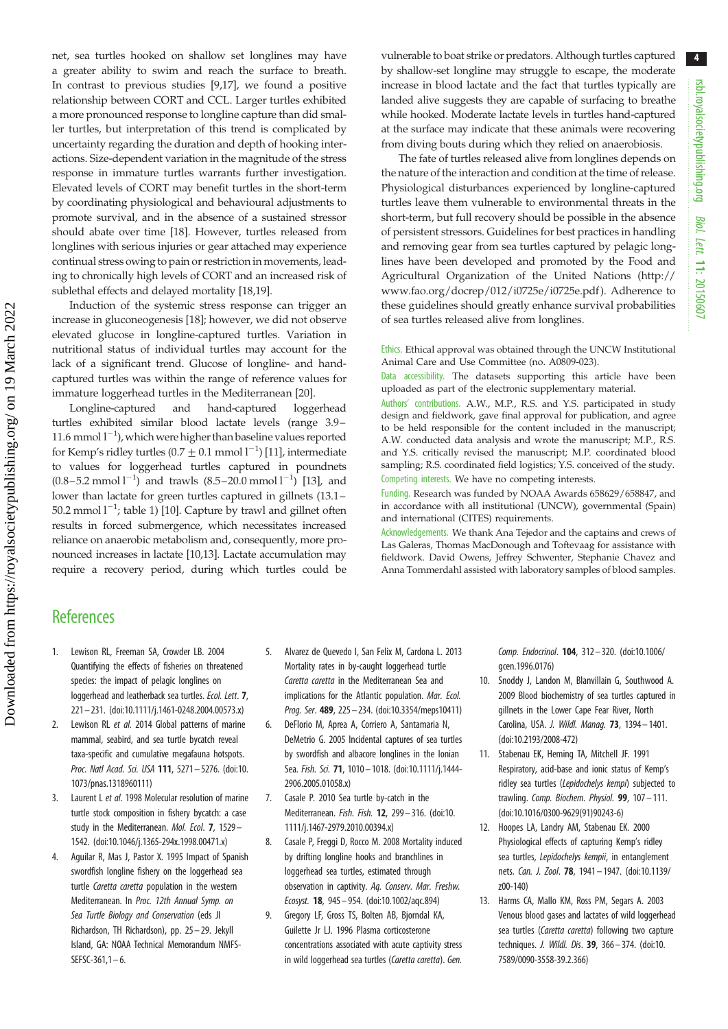4

<span id="page-3-0"></span>net, sea turtles hooked on shallow set longlines may have a greater ability to swim and reach the surface to breath. In contrast to previous studies [9,[17\]](#page-4-0), we found a positive relationship between CORT and CCL. Larger turtles exhibited a more pronounced response to longline capture than did smaller turtles, but interpretation of this trend is complicated by uncertainty regarding the duration and depth of hooking interactions. Size-dependent variation in the magnitude of the stress response in immature turtles warrants further investigation. Elevated levels of CORT may benefit turtles in the short-term by coordinating physiological and behavioural adjustments to promote survival, and in the absence of a sustained stressor should abate over time [[18\]](#page-4-0). However, turtles released from longlines with serious injuries or gear attached may experience continual stress owing to pain or restriction in movements, leading to chronically high levels of CORT and an increased risk of sublethal effects and delayed mortality [\[18,19\]](#page-4-0).

Induction of the systemic stress response can trigger an increase in gluconeogenesis [[18\]](#page-4-0); however, we did not observe elevated glucose in longline-captured turtles. Variation in nutritional status of individual turtles may account for the lack of a significant trend. Glucose of longline- and handcaptured turtles was within the range of reference values for immature loggerhead turtles in the Mediterranean [\[20](#page-4-0)].

Longline-captured and hand-captured loggerhead turtles exhibited similar blood lactate levels (range 3.9– 11.6 mmol  $1^{-1}$ ), which were higher than baseline values reported for Kemp's ridley turtles (0.7  $\pm$  0.1 mmol  $1^{-1}$ ) [11], intermediate to values for loggerhead turtles captured in poundnets  $(0.8 - 5.2 \text{ mmol l}^{-1})$  and trawls  $(8.5 - 20.0 \text{ mmol l}^{-1})$  [13], and lower than lactate for green turtles captured in gillnets (13.1– 50.2 mmol  $1^{-1}$ ; [table 1](#page-2-0)) [10]. Capture by trawl and gillnet often results in forced submergence, which necessitates increased reliance on anaerobic metabolism and, consequently, more pronounced increases in lactate [10,13]. Lactate accumulation may require a recovery period, during which turtles could be vulnerable to boat strike or predators. Although turtles captured by shallow-set longline may struggle to escape, the moderate increase in blood lactate and the fact that turtles typically are landed alive suggests they are capable of surfacing to breathe while hooked. Moderate lactate levels in turtles hand-captured at the surface may indicate that these animals were recovering from diving bouts during which they relied on anaerobiosis.

The fate of turtles released alive from longlines depends on the nature of the interaction and condition at the time of release. Physiological disturbances experienced by longline-captured turtles leave them vulnerable to environmental threats in the short-term, but full recovery should be possible in the absence of persistent stressors. Guidelines for best practices in handling and removing gear from sea turtles captured by pelagic longlines have been developed and promoted by the Food and Agricultural Organization of the United Nations ([http://](http://www.fao.org/docrep/012/i0725e/i0725e.pdf) [www.fao.org/docrep/012/i0725e/i0725e.pdf](http://www.fao.org/docrep/012/i0725e/i0725e.pdf) ). Adherence to these guidelines should greatly enhance survival probabilities of sea turtles released alive from longlines.

Ethics. Ethical approval was obtained through the UNCW Institutional Animal Care and Use Committee (no. A0809-023).

Data accessibility. The datasets supporting this article have been uploaded as part of the electronic supplementary material.

Authors' contributions. A.W., M.P., R.S. and Y.S. participated in study design and fieldwork, gave final approval for publication, and agree to be held responsible for the content included in the manuscript; A.W. conducted data analysis and wrote the manuscript; M.P., R.S. and Y.S. critically revised the manuscript; M.P. coordinated blood sampling; R.S. coordinated field logistics; Y.S. conceived of the study. Competing interests. We have no competing interests.

Funding. Research was funded by NOAA Awards 658629/658847, and in accordance with all institutional (UNCW), governmental (Spain) and international (CITES) requirements.

Acknowledgements. We thank Ana Tejedor and the captains and crews of Las Galeras, Thomas MacDonough and Toftevaag for assistance with fieldwork. David Owens, Jeffrey Schwenter, Stephanie Chavez and Anna Tommerdahl assisted with laboratory samples of blood samples.

# **References**

- 1. Lewison RL, Freeman SA, Crowder LB. 2004 Quantifying the effects of fisheries on threatened species: the impact of pelagic longlines on loggerhead and leatherback sea turtles. Ecol. Lett. 7, 221– 231. ([doi:10.1111/j.1461-0248.2004.00573.x](http://dx.doi.org/10.1111/j.1461-0248.2004.00573.x))
- 2. Lewison RL et al. 2014 Global patterns of marine mammal, seabird, and sea turtle bycatch reveal taxa-specific and cumulative megafauna hotspots. Proc. Natl Acad. Sci. USA 111, 5271– 5276. ([doi:10.](http://dx.doi.org/10.1073/pnas.1318960111) [1073/pnas.1318960111](http://dx.doi.org/10.1073/pnas.1318960111))
- 3. Laurent L et al. 1998 Molecular resolution of marine turtle stock composition in fishery bycatch: a case study in the Mediterranean. Mol. Ecol. 7, 1529-1542. ([doi:10.1046/j.1365-294x.1998.00471.x\)](http://dx.doi.org/10.1046/j.1365-294x.1998.00471.x)
- 4. Aguilar R, Mas J, Pastor X. 1995 Impact of Spanish swordfish longline fishery on the loggerhead sea turtle Caretta caretta population in the western Mediterranean. In Proc. 12th Annual Symp. on Sea Turtle Biology and Conservation (eds JI Richardson, TH Richardson), pp. 25 – 29. Jekyll Island, GA: NOAA Technical Memorandum NMFS- $SEFSC-361,1-6.$
- 5. Alvarez de Quevedo I, San Felix M, Cardona L. 2013 Mortality rates in by-caught loggerhead turtle Caretta caretta in the Mediterranean Sea and implications for the Atlantic population. Mar. Ecol. Prog. Ser. 489, 225– 234. [\(doi:10.3354/meps10411\)](http://dx.doi.org/10.3354/meps10411)
- 6. DeFlorio M, Aprea A, Corriero A, Santamaria N, DeMetrio G. 2005 Incidental captures of sea turtles by swordfish and albacore longlines in the Ionian Sea. Fish. Sci. 71, 1010 - 1018. [\(doi:10.1111/j.1444-](http://dx.doi.org/10.1111/j.1444-2906.2005.01058.x) [2906.2005.01058.x\)](http://dx.doi.org/10.1111/j.1444-2906.2005.01058.x)
- 7. Casale P. 2010 Sea turtle by-catch in the Mediterranean. Fish. Fish. 12, 299 – 316. ([doi:10.](http://dx.doi.org/10.1111/j.1467-2979.2010.00394.x) [1111/j.1467-2979.2010.00394.x](http://dx.doi.org/10.1111/j.1467-2979.2010.00394.x))
- 8. Casale P, Freggi D, Rocco M. 2008 Mortality induced by drifting longline hooks and branchlines in loggerhead sea turtles, estimated through observation in captivity. Aq. Conserv. Mar. Freshw. Ecosyst. 18, 945– 954. ([doi:10.1002/aqc.894\)](http://dx.doi.org/10.1002/aqc.894)
- 9. Gregory LF, Gross TS, Bolten AB, Bjorndal KA, Guilette Jr LJ. 1996 Plasma corticosterone concentrations associated with acute captivity stress in wild loggerhead sea turtles (Caretta caretta). Gen.

Comp. Endocrinol. 104, 312– 320. [\(doi:10.1006/](http://dx.doi.org/10.1006/gcen.1996.0176) [gcen.1996.0176](http://dx.doi.org/10.1006/gcen.1996.0176))

- 10. Snoddy J, Landon M, Blanvillain G, Southwood A. 2009 Blood biochemistry of sea turtles captured in gillnets in the Lower Cape Fear River, North Carolina, USA. J. Wildl. Manag. 73, 1394– 1401. ([doi:10.2193/2008-472\)](http://dx.doi.org/10.2193/2008-472)
- 11. Stabenau EK, Heming TA, Mitchell JF. 1991 Respiratory, acid-base and ionic status of Kemp's ridley sea turtles (Lepidochelys kempi) subjected to trawling. Comp. Biochem. Physiol. 99, 107-111. ([doi:10.1016/0300-9629\(91\)90243-6\)](http://dx.doi.org/10.1016/0300-9629(91)90243-6)
- 12. Hoopes LA, Landry AM, Stabenau EK. 2000 Physiological effects of capturing Kemp's ridley sea turtles, Lepidochelys kempii, in entanglement nets. Can. J. Zool. 78, 1941 – 1947. ([doi:10.1139/](http://dx.doi.org/10.1139/z00-140) [z00-140\)](http://dx.doi.org/10.1139/z00-140)
- 13. Harms CA, Mallo KM, Ross PM, Segars A. 2003 Venous blood gases and lactates of wild loggerhead sea turtles (Caretta caretta) following two capture techniques. J. Wildl. Dis. 39, 366 – 374. ([doi:10.](http://dx.doi.org/10.7589/0090-3558-39.2.366) [7589/0090-3558-39.2.366](http://dx.doi.org/10.7589/0090-3558-39.2.366))